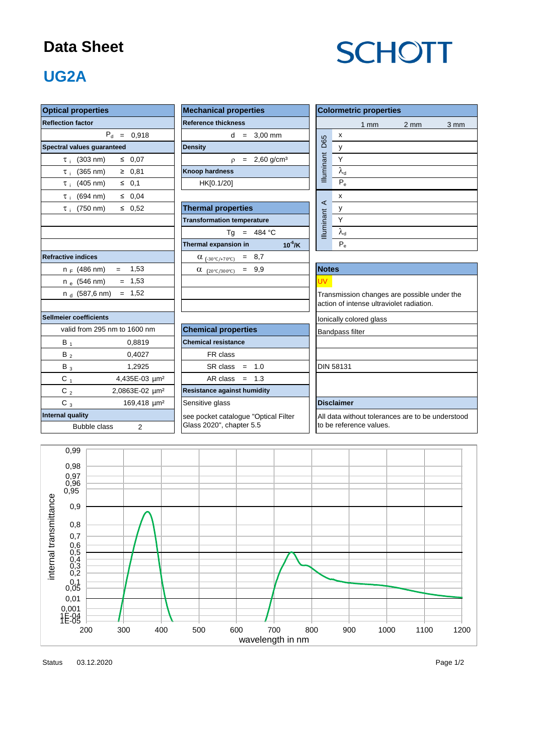#### **Data Sheet**

# **SCHOTT**

### **UG2A**

| <b>Optical properties</b>                  | <b>Mechanical properties</b>            | <b>Colormetric properties</b>                    |  |  |  |  |  |  |  |
|--------------------------------------------|-----------------------------------------|--------------------------------------------------|--|--|--|--|--|--|--|
| <b>Reflection factor</b>                   | <b>Reference thickness</b>              | $1$ mm<br>$2 \text{ mm}$<br>$3 \, \text{mm}$     |  |  |  |  |  |  |  |
| $P_d = 0,918$                              | $d = 3.00$ mm                           | $\pmb{\chi}$                                     |  |  |  |  |  |  |  |
| Spectral values guaranteed                 | <b>Density</b>                          | D65<br>y                                         |  |  |  |  |  |  |  |
| $\leq 0.07$<br>$\tau_i$ (303 nm)           | $p = 2,60$ g/cm <sup>3</sup>            | Illuminant<br>Y                                  |  |  |  |  |  |  |  |
| $\tau_i$ (365 nm)<br>$\geq 0,81$           | <b>Knoop hardness</b>                   | $\lambda_{\rm d}$                                |  |  |  |  |  |  |  |
| $\tau_i$ (405 nm)<br>$\leq 0,1$            | HK[0.1/20]                              | $P_e$                                            |  |  |  |  |  |  |  |
| $\tau_i$ (694 nm)<br>$\leq 0.04$           |                                         | X                                                |  |  |  |  |  |  |  |
| $\leq 0,52$<br>$\tau_i$ (750 nm)           | <b>Thermal properties</b>               | $\prec$<br>у                                     |  |  |  |  |  |  |  |
|                                            | <b>Transformation temperature</b>       | <b>Illuminant</b><br>Y                           |  |  |  |  |  |  |  |
|                                            | Tg = $484 °C$                           | $\lambda_{\rm d}$                                |  |  |  |  |  |  |  |
|                                            | Thermal expansion in<br>$10^{-6}$ /K    | $\mathsf{P}_{\mathrm{e}}$                        |  |  |  |  |  |  |  |
| <b>Refractive indices</b>                  | $\alpha$ <sub>(-30°C/+70°C)</sub> = 8,7 |                                                  |  |  |  |  |  |  |  |
| $= 1,53$<br>$n_F$ (486 nm)                 | $= 9,9$<br>$\alpha$ (20°C/300°C)        | <b>Notes</b>                                     |  |  |  |  |  |  |  |
| $n_e$ (546 nm)<br>$= 1,53$                 |                                         | <b>UV</b>                                        |  |  |  |  |  |  |  |
| $= 1,52$<br>n <sub>d</sub> (587,6 nm)      |                                         | Transmission changes are possible under the      |  |  |  |  |  |  |  |
|                                            |                                         | action of intense ultraviolet radiation.         |  |  |  |  |  |  |  |
| Sellmeier coefficients                     |                                         | lonically colored glass                          |  |  |  |  |  |  |  |
| valid from 295 nm to 1600 nm               | <b>Chemical properties</b>              | <b>Bandpass filter</b>                           |  |  |  |  |  |  |  |
| $B_1$<br>0,8819                            | <b>Chemical resistance</b>              |                                                  |  |  |  |  |  |  |  |
| $B_2$<br>0,4027                            | FR class                                |                                                  |  |  |  |  |  |  |  |
| 1,2925<br>$B_3$                            | $SR class = 1.0$                        | <b>DIN 58131</b>                                 |  |  |  |  |  |  |  |
| $C_1$<br>4,435E-03 µm <sup>2</sup>         | AR class $= 1.3$                        |                                                  |  |  |  |  |  |  |  |
| 2,0863E-02 µm <sup>2</sup><br>C $_{\rm 2}$ | <b>Resistance against humidity</b>      |                                                  |  |  |  |  |  |  |  |
| $C_3$<br>169,418 um <sup>2</sup>           | Sensitive glass                         | <b>Disclaimer</b>                                |  |  |  |  |  |  |  |
| <b>Internal quality</b>                    | see pocket catalogue "Optical Filter    | All data without tolerances are to be understood |  |  |  |  |  |  |  |
| 2<br>Bubble class                          | Glass 2020", chapter 5.5                | to be reference values.                          |  |  |  |  |  |  |  |
|                                            |                                         |                                                  |  |  |  |  |  |  |  |
| 0,99                                       |                                         |                                                  |  |  |  |  |  |  |  |
| 0,98                                       |                                         |                                                  |  |  |  |  |  |  |  |



Status 03.12.2020 2012 2020 2020 2021 2022 2020 2021 2022 2022 2022 2022 2022 2022 2020 2021 2022 2020 2021 20 03.12.2020